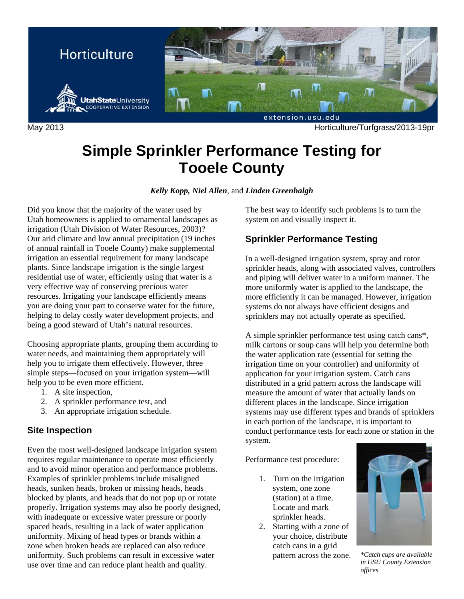

May 2013 Horticulture/Turfgrass/2013-19pr

# **Simple Sprinkler Performance Testing for Tooele County**

*Kelly Kopp, Niel Allen*, and *Linden Greenhalgh* 

Did you know that the majority of the water used by Utah homeowners is applied to ornamental landscapes as irrigation (Utah Division of Water Resources, 2003)? Our arid climate and low annual precipitation (19 inches of annual rainfall in Tooele County) make supplemental irrigation an essential requirement for many landscape plants. Since landscape irrigation is the single largest residential use of water, efficiently using that water is a very effective way of conserving precious water resources. Irrigating your landscape efficiently means you are doing your part to conserve water for the future, helping to delay costly water development projects, and being a good steward of Utah's natural resources.

Choosing appropriate plants, grouping them according to water needs, and maintaining them appropriately will help you to irrigate them effectively. However, three simple steps—focused on your irrigation system—will help you to be even more efficient.

- 1. A site inspection,
- 2. A sprinkler performance test, and
- 3. An appropriate irrigation schedule.

### **Site Inspection**

Even the most well-designed landscape irrigation system requires regular maintenance to operate most efficiently and to avoid minor operation and performance problems. Examples of sprinkler problems include misaligned heads, sunken heads, broken or missing heads, heads blocked by plants, and heads that do not pop up or rotate properly. Irrigation systems may also be poorly designed, with inadequate or excessive water pressure or poorly spaced heads, resulting in a lack of water application uniformity. Mixing of head types or brands within a zone when broken heads are replaced can also reduce uniformity. Such problems can result in excessive water use over time and can reduce plant health and quality.

The best way to identify such problems is to turn the system on and visually inspect it.

## **Sprinkler Performance Testing**

In a well-designed irrigation system, spray and rotor sprinkler heads, along with associated valves, controllers and piping will deliver water in a uniform manner. The more uniformly water is applied to the landscape, the more efficiently it can be managed. However, irrigation systems do not always have efficient designs and sprinklers may not actually operate as specified.

A simple sprinkler performance test using catch cans\*, milk cartons or soup cans will help you determine both the water application rate (essential for setting the irrigation time on your controller) and uniformity of application for your irrigation system. Catch cans distributed in a grid pattern across the landscape will measure the amount of water that actually lands on different places in the landscape. Since irrigation systems may use different types and brands of sprinklers in each portion of the landscape, it is important to conduct performance tests for each zone or station in the system.

Performance test procedure:

- 1. Turn on the irrigation system, one zone (station) at a time. Locate and mark sprinkler heads.
- 2. Starting with a zone of your choice, distribute catch cans in a grid pattern across the zone. *\*Catch cups are available*



*in USU County Extension offices*